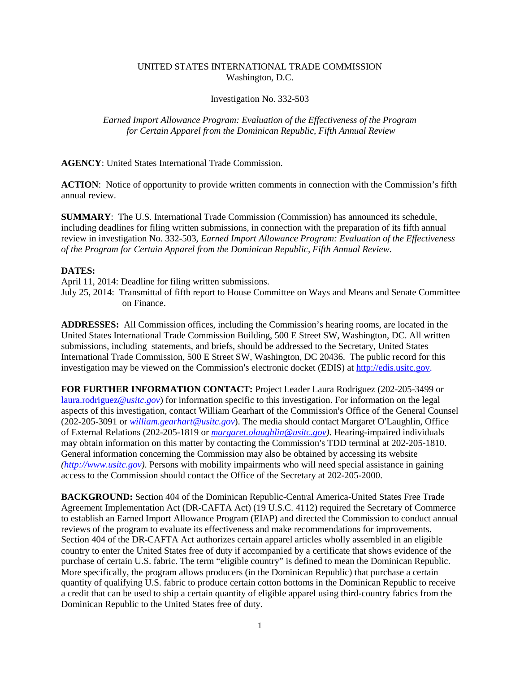## UNITED STATES INTERNATIONAL TRADE COMMISSION Washington, D.C.

## Investigation No. 332-503

## *Earned Import Allowance Program: Evaluation of the Effectiveness of the Program for Certain Apparel from the Dominican Republic, Fifth Annual Review*

**AGENCY**: United States International Trade Commission.

**ACTION**: Notice of opportunity to provide written comments in connection with the Commission's fifth annual review.

**SUMMARY**: The U.S. International Trade Commission (Commission) has announced its schedule, including deadlines for filing written submissions, in connection with the preparation of its fifth annual review in investigation No. 332-503, *Earned Import Allowance Program: Evaluation of the Effectiveness of the Program for Certain Apparel from the Dominican Republic, Fifth Annual Review*.

## **DATES:**

April 11, 2014: Deadline for filing written submissions.

July 25, 2014: Transmittal of fifth report to House Committee on Ways and Means and Senate Committee on Finance.

**ADDRESSES:** All Commission offices, including the Commission's hearing rooms, are located in the United States International Trade Commission Building, 500 E Street SW, Washington, DC. All written submissions, including statements, and briefs, should be addressed to the Secretary, United States International Trade Commission, 500 E Street SW, Washington, DC 20436. The public record for this investigation may be viewed on the Commission's electronic docket (EDIS) at http://edis.usitc.gov.

**FOR FURTHER INFORMATION CONTACT:** Project Leader Laura Rodriguez (202-205-3499 or [laura.rodriguez](mailto:laura.rodriguez@usitc.gov)*@usitc.gov*) for information specific to this investigation. For information on the legal aspects of this investigation, contact William Gearhart of the Commission's Office of the General Counsel  $(202-205-3091)$  or *[william.gearhart@usitc.gov](mailto:william.gearhart@usitc.gov)*). The media should contact Margaret O'Laughlin, Office of External Relations (202-205-1819 or *[margaret.olaughlin@usitc.gov\)](mailto:margaret.olaughlin@usitc.gov)*. Hearing-impaired individuals may obtain information on this matter by contacting the Commission's TDD terminal at 202-205-1810. General information concerning the Commission may also be obtained by accessing its website *[\(http://www.usitc.gov\)](http://www.usitc.gov/)*. Persons with mobility impairments who will need special assistance in gaining access to the Commission should contact the Office of the Secretary at 202-205-2000.

**BACKGROUND:** Section 404 of the Dominican Republic-Central America-United States Free Trade Agreement Implementation Act (DR-CAFTA Act) (19 U.S.C. 4112) required the Secretary of Commerce to establish an Earned Import Allowance Program (EIAP) and directed the Commission to conduct annual reviews of the program to evaluate its effectiveness and make recommendations for improvements. Section 404 of the DR-CAFTA Act authorizes certain apparel articles wholly assembled in an eligible country to enter the United States free of duty if accompanied by a certificate that shows evidence of the purchase of certain U.S. fabric. The term "eligible country" is defined to mean the Dominican Republic. More specifically, the program allows producers (in the Dominican Republic) that purchase a certain quantity of qualifying U.S. fabric to produce certain cotton bottoms in the Dominican Republic to receive a credit that can be used to ship a certain quantity of eligible apparel using third-country fabrics from the Dominican Republic to the United States free of duty.